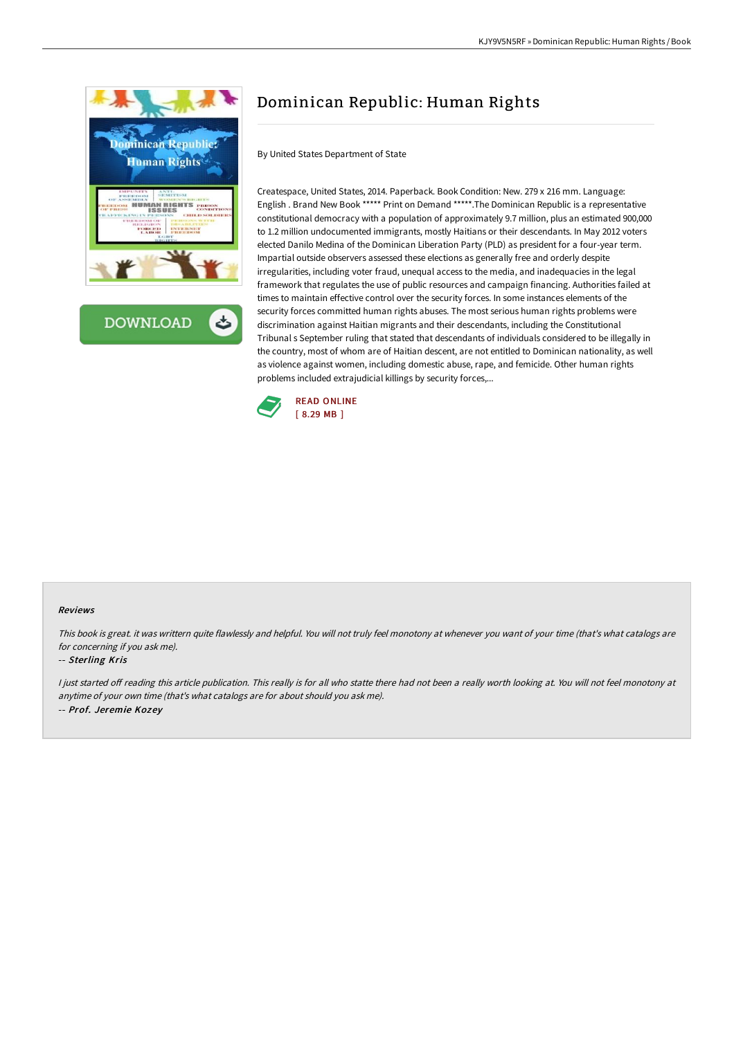



# Dominican Republic: Human Rights

By United States Department of State

Createspace, United States, 2014. Paperback. Book Condition: New. 279 x 216 mm. Language: English . Brand New Book \*\*\*\*\* Print on Demand \*\*\*\*\*.The Dominican Republic is a representative constitutional democracy with a population of approximately 9.7 million, plus an estimated 900,000 to 1.2 million undocumented immigrants, mostly Haitians or their descendants. In May 2012 voters elected Danilo Medina of the Dominican Liberation Party (PLD) as president for a four-year term. Impartial outside observers assessed these elections as generally free and orderly despite irregularities, including voter fraud, unequal access to the media, and inadequacies in the legal framework that regulates the use of public resources and campaign financing. Authorities failed at times to maintain effective control over the security forces. In some instances elements of the security forces committed human rights abuses. The most serious human rights problems were discrimination against Haitian migrants and their descendants, including the Constitutional Tribunal s September ruling that stated that descendants of individuals considered to be illegally in the country, most of whom are of Haitian descent, are not entitled to Dominican nationality, as well as violence against women, including domestic abuse, rape, and femicide. Other human rights problems included extrajudicial killings by security forces,...



#### Reviews

This book is great. it was writtern quite flawlessly and helpful. You will not truly feel monotony at whenever you want of your time (that's what catalogs are for concerning if you ask me).

#### -- Sterling Kris

I just started off reading this article publication. This really is for all who statte there had not been a really worth looking at. You will not feel monotony at anytime of your own time (that's what catalogs are for about should you ask me). -- Prof. Jeremie Kozey